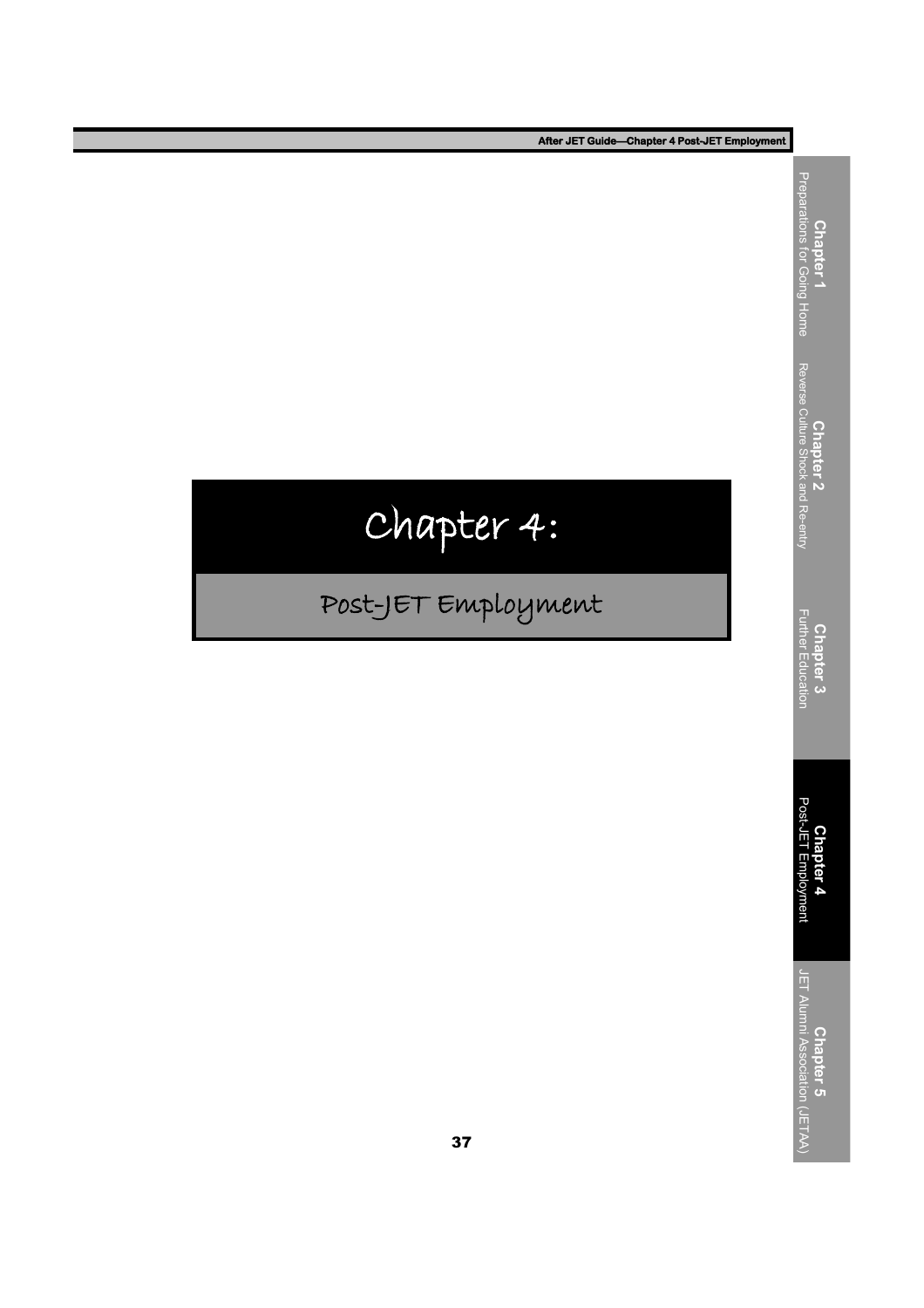# Chapter 4:

## Post-JET Employment

**Chapter 4**<br>Post-JET Employment Post-JET Employment **Chapter 3**<br>Further Education Further Education **Chapter 2** Reverse Culture Shock and Re-entry

**Chapter 1** Preparations for Going Home

**Chapter 5**<br>JET Alumni Association (JETAA) JET Alumni Association (JETAA)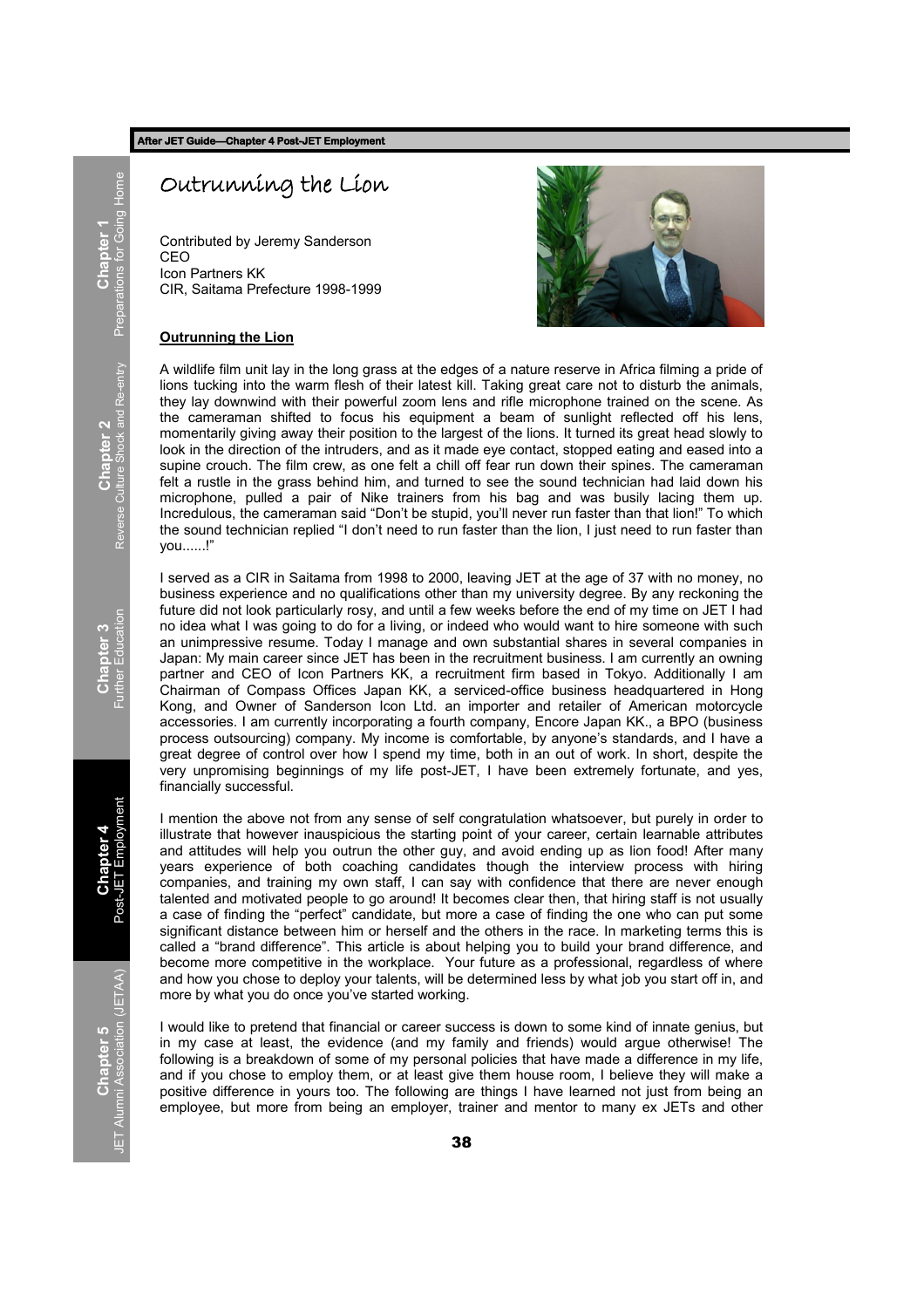## Outrunning the Lion

Contributed by Jeremy Sanderson CEO Icon Partners KK CIR, Saitama Prefecture 1998-1999



### **Outrunning the Lion**

A wildlife film unit lay in the long grass at the edges of a nature reserve in Africa filming a pride of lions tucking into the warm flesh of their latest kill. Taking great care not to disturb the animals, they lay downwind with their powerful zoom lens and rifle microphone trained on the scene. As the cameraman shifted to focus his equipment a beam of sunlight reflected off his lens, momentarily giving away their position to the largest of the lions. It turned its great head slowly to look in the direction of the intruders, and as it made eye contact, stopped eating and eased into a supine crouch. The film crew, as one felt a chill off fear run down their spines. The cameraman felt a rustle in the grass behind him, and turned to see the sound technician had laid down his microphone, pulled a pair of Nike trainers from his bag and was busily lacing them up. Incredulous, the cameraman said "Don't be stupid, you'll never run faster than that lion!" To which the sound technician replied "I don't need to run faster than the lion, I just need to run faster than you......!‖

I served as a CIR in Saitama from 1998 to 2000, leaving JET at the age of 37 with no money, no business experience and no qualifications other than my university degree. By any reckoning the future did not look particularly rosy, and until a few weeks before the end of my time on JET I had no idea what I was going to do for a living, or indeed who would want to hire someone with such an unimpressive resume. Today I manage and own substantial shares in several companies in Japan: My main career since JET has been in the recruitment business. I am currently an owning partner and CEO of Icon Partners KK, a recruitment firm based in Tokyo. Additionally I am Chairman of Compass Offices Japan KK, a serviced-office business headquartered in Hong Kong, and Owner of Sanderson Icon Ltd. an importer and retailer of American motorcycle accessories. I am currently incorporating a fourth company, Encore Japan KK., a BPO (business process outsourcing) company. My income is comfortable, by anyone's standards, and I have a great degree of control over how I spend my time, both in an out of work. In short, despite the very unpromising beginnings of my life post-JET, I have been extremely fortunate, and yes, financially successful.

I mention the above not from any sense of self congratulation whatsoever, but purely in order to illustrate that however inauspicious the starting point of your career, certain learnable attributes and attitudes will help you outrun the other guy, and avoid ending up as lion food! After many years experience of both coaching candidates though the interview process with hiring companies, and training my own staff, I can say with confidence that there are never enough talented and motivated people to go around! It becomes clear then, that hiring staff is not usually a case of finding the "perfect" candidate, but more a case of finding the one who can put some significant distance between him or herself and the others in the race. In marketing terms this is called a "brand difference". This article is about helping you to build your brand difference, and become more competitive in the workplace. Your future as a professional, regardless of where and how you chose to deploy your talents, will be determined less by what job you start off in, and more by what you do once you've started working.

I would like to pretend that financial or career success is down to some kind of innate genius, but in my case at least, the evidence (and my family and friends) would argue otherwise! The following is a breakdown of some of my personal policies that have made a difference in my life, and if you chose to employ them, or at least give them house room, I believe they will make a positive difference in yours too. The following are things I have learned not just from being an employee, but more from being an employer, trainer and mentor to many ex JETs and other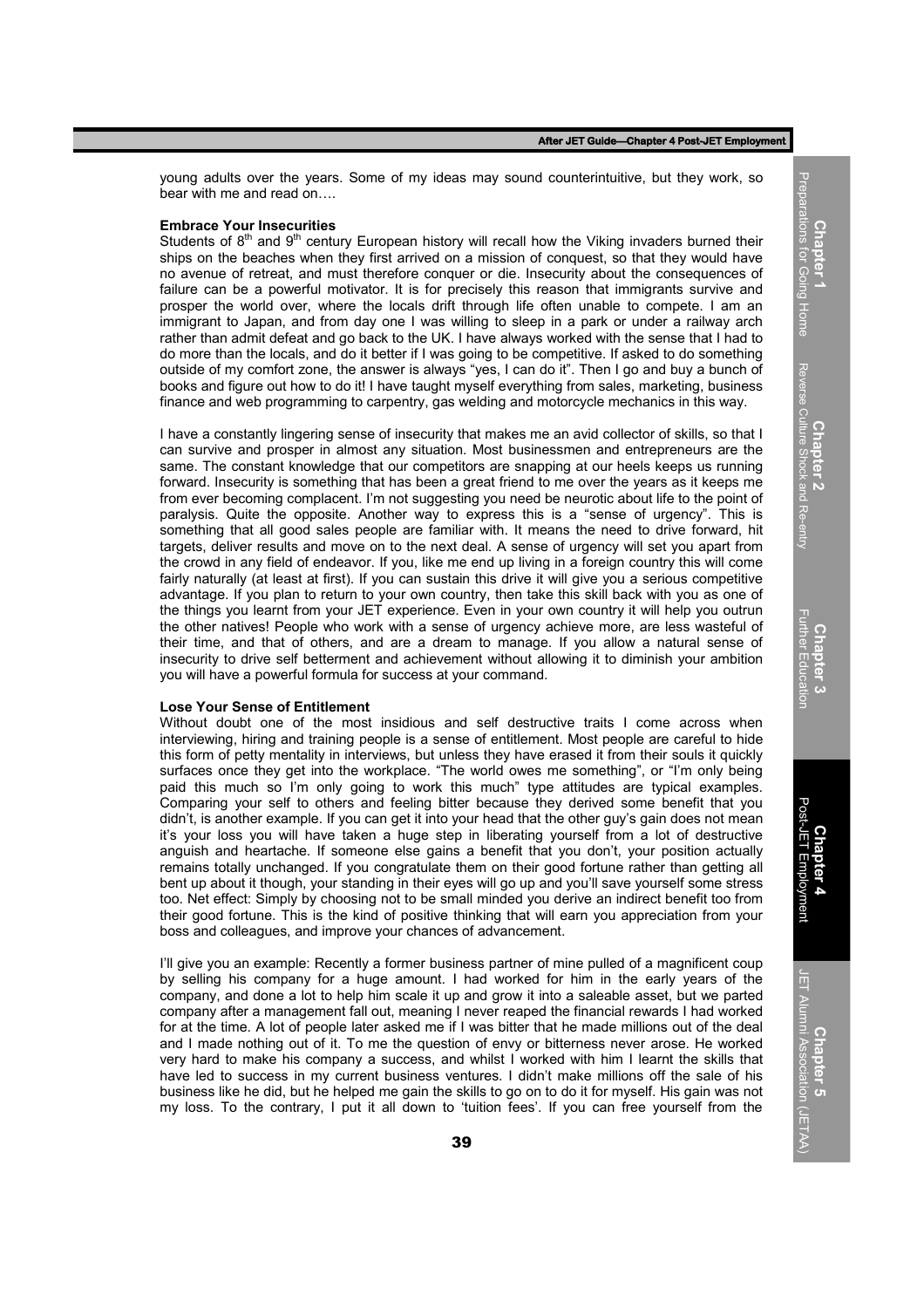young adults over the years. Some of my ideas may sound counterintuitive, but they work, so bear with me and read on….

#### **Embrace Your Insecurities**

Students of  $8<sup>th</sup>$  and  $9<sup>th</sup>$  century European history will recall how the Viking invaders burned their ships on the beaches when they first arrived on a mission of conquest, so that they would have no avenue of retreat, and must therefore conquer or die. Insecurity about the consequences of failure can be a powerful motivator. It is for precisely this reason that immigrants survive and prosper the world over, where the locals drift through life often unable to compete. I am an immigrant to Japan, and from day one I was willing to sleep in a park or under a railway arch rather than admit defeat and go back to the UK. I have always worked with the sense that I had to do more than the locals, and do it better if I was going to be competitive. If asked to do something outside of my comfort zone, the answer is always "yes, I can do it". Then I go and buy a bunch of books and figure out how to do it! I have taught myself everything from sales, marketing, business finance and web programming to carpentry, gas welding and motorcycle mechanics in this way.

I have a constantly lingering sense of insecurity that makes me an avid collector of skills, so that I can survive and prosper in almost any situation. Most businessmen and entrepreneurs are the same. The constant knowledge that our competitors are snapping at our heels keeps us running forward. Insecurity is something that has been a great friend to me over the years as it keeps me from ever becoming complacent. I'm not suggesting you need be neurotic about life to the point of paralysis. Quite the opposite. Another way to express this is a "sense of urgency". This is something that all good sales people are familiar with. It means the need to drive forward, hit targets, deliver results and move on to the next deal. A sense of urgency will set you apart from the crowd in any field of endeavor. If you, like me end up living in a foreign country this will come fairly naturally (at least at first). If you can sustain this drive it will give you a serious competitive advantage. If you plan to return to your own country, then take this skill back with you as one of the things you learnt from your JET experience. Even in your own country it will help you outrun the other natives! People who work with a sense of urgency achieve more, are less wasteful of their time, and that of others, and are a dream to manage. If you allow a natural sense of insecurity to drive self betterment and achievement without allowing it to diminish your ambition you will have a powerful formula for success at your command.

#### **Lose Your Sense of Entitlement**

Without doubt one of the most insidious and self destructive traits I come across when interviewing, hiring and training people is a sense of entitlement. Most people are careful to hide this form of petty mentality in interviews, but unless they have erased it from their souls it quickly surfaces once they get into the workplace. "The world owes me something", or "I'm only being paid this much so I'm only going to work this much" type attitudes are typical examples. Comparing your self to others and feeling bitter because they derived some benefit that you didn't, is another example. If you can get it into your head that the other guy's gain does not mean it's your loss you will have taken a huge step in liberating yourself from a lot of destructive anguish and heartache. If someone else gains a benefit that you don't, your position actually remains totally unchanged. If you congratulate them on their good fortune rather than getting all bent up about it though, your standing in their eyes will go up and you'll save yourself some stress too. Net effect: Simply by choosing not to be small minded you derive an indirect benefit too from their good fortune. This is the kind of positive thinking that will earn you appreciation from your boss and colleagues, and improve your chances of advancement.

I'll give you an example: Recently a former business partner of mine pulled of a magnificent coup by selling his company for a huge amount. I had worked for him in the early years of the company, and done a lot to help him scale it up and grow it into a saleable asset, but we parted company after a management fall out, meaning I never reaped the financial rewards I had worked for at the time. A lot of people later asked me if I was bitter that he made millions out of the deal and I made nothing out of it. To me the question of envy or bitterness never arose. He worked very hard to make his company a success, and whilst I worked with him I learnt the skills that have led to success in my current business ventures. I didn't make millions off the sale of his business like he did, but he helped me gain the skills to go on to do it for myself. His gain was not my loss. To the contrary, I put it all down to 'tuition fees'. If you can free yourself from the

**Chapter** 1 Preparations for Going Home

Prepa

arations for Going Home

**Chapter 5** JET Alumni Association (JETAA)

JET Alumni Association (JETAA)

<u>ុ</u>

Post-JET Employment

ployment

Post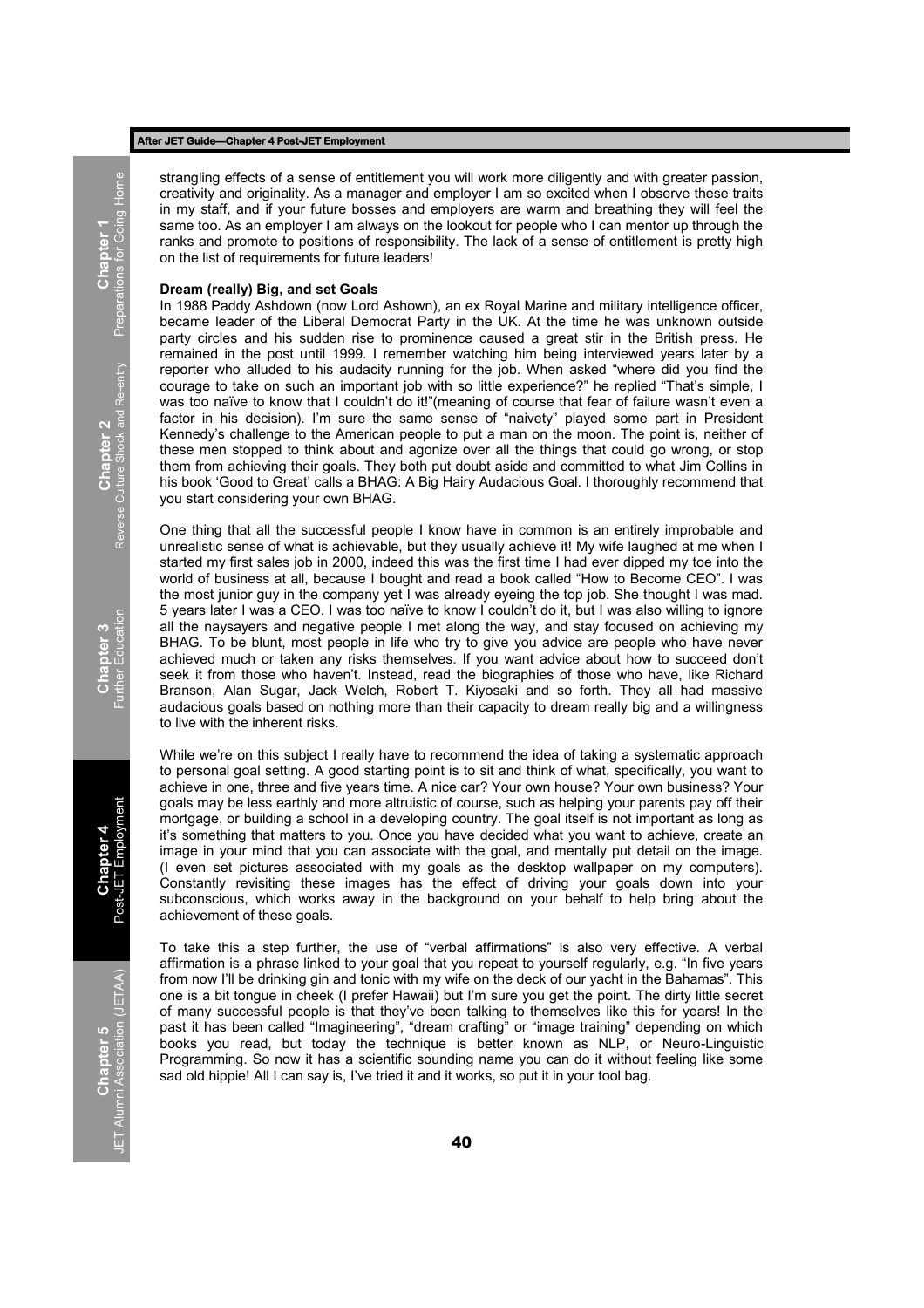strangling effects of a sense of entitlement you will work more diligently and with greater passion, creativity and originality. As a manager and employer I am so excited when I observe these traits in my staff, and if your future bosses and employers are warm and breathing they will feel the same too. As an employer I am always on the lookout for people who I can mentor up through the ranks and promote to positions of responsibility. The lack of a sense of entitlement is pretty high on the list of requirements for future leaders!

#### **Dream (really) Big, and set Goals**

In 1988 Paddy Ashdown (now Lord Ashown), an ex Royal Marine and military intelligence officer, became leader of the Liberal Democrat Party in the UK. At the time he was unknown outside party circles and his sudden rise to prominence caused a great stir in the British press. He remained in the post until 1999. I remember watching him being interviewed years later by a reporter who alluded to his audacity running for the job. When asked "where did you find the courage to take on such an important job with so little experience?" he replied "That's simple, I was too naïve to know that I couldn't do it!"(meaning of course that fear of failure wasn't even a factor in his decision). I'm sure the same sense of "naivety" played some part in President Kennedy's challenge to the American people to put a man on the moon. The point is, neither of these men stopped to think about and agonize over all the things that could go wrong, or stop them from achieving their goals. They both put doubt aside and committed to what Jim Collins in his book 'Good to Great' calls a BHAG: A Big Hairy Audacious Goal. I thoroughly recommend that you start considering your own BHAG.

One thing that all the successful people I know have in common is an entirely improbable and unrealistic sense of what is achievable, but they usually achieve it! My wife laughed at me when I started my first sales job in 2000, indeed this was the first time I had ever dipped my toe into the world of business at all, because I bought and read a book called "How to Become CEO". I was the most junior guy in the company yet I was already eyeing the top job. She thought I was mad. 5 years later I was a CEO. I was too naïve to know I couldn't do it, but I was also willing to ignore all the naysayers and negative people I met along the way, and stay focused on achieving my BHAG. To be blunt, most people in life who try to give you advice are people who have never achieved much or taken any risks themselves. If you want advice about how to succeed don't seek it from those who haven't. Instead, read the biographies of those who have, like Richard Branson, Alan Sugar, Jack Welch, Robert T. Kiyosaki and so forth. They all had massive audacious goals based on nothing more than their capacity to dream really big and a willingness to live with the inherent risks.

While we're on this subject I really have to recommend the idea of taking a systematic approach to personal goal setting. A good starting point is to sit and think of what, specifically, you want to achieve in one, three and five years time. A nice car? Your own house? Your own business? Your goals may be less earthly and more altruistic of course, such as helping your parents pay off their mortgage, or building a school in a developing country. The goal itself is not important as long as it's something that matters to you. Once you have decided what you want to achieve, create an image in your mind that you can associate with the goal, and mentally put detail on the image. (I even set pictures associated with my goals as the desktop wallpaper on my computers). Constantly revisiting these images has the effect of driving your goals down into your subconscious, which works away in the background on your behalf to help bring about the achievement of these goals.

To take this a step further, the use of "verbal affirmations" is also very effective. A verbal affirmation is a phrase linked to your goal that you repeat to yourself regularly, e.g. "In five years from now I'll be drinking gin and tonic with my wife on the deck of our yacht in the Bahamas". This one is a bit tongue in cheek (I prefer Hawaii) but I'm sure you get the point. The dirty little secret of many successful people is that they've been talking to themselves like this for years! In the past it has been called "Imagineering", "dream crafting" or "image training" depending on which books you read, but today the technique is better known as NLP, or Neuro-Linguistic Programming. So now it has a scientific sounding name you can do it without feeling like some sad old hippie! All I can say is, I've tried it and it works, so put it in your tool bag.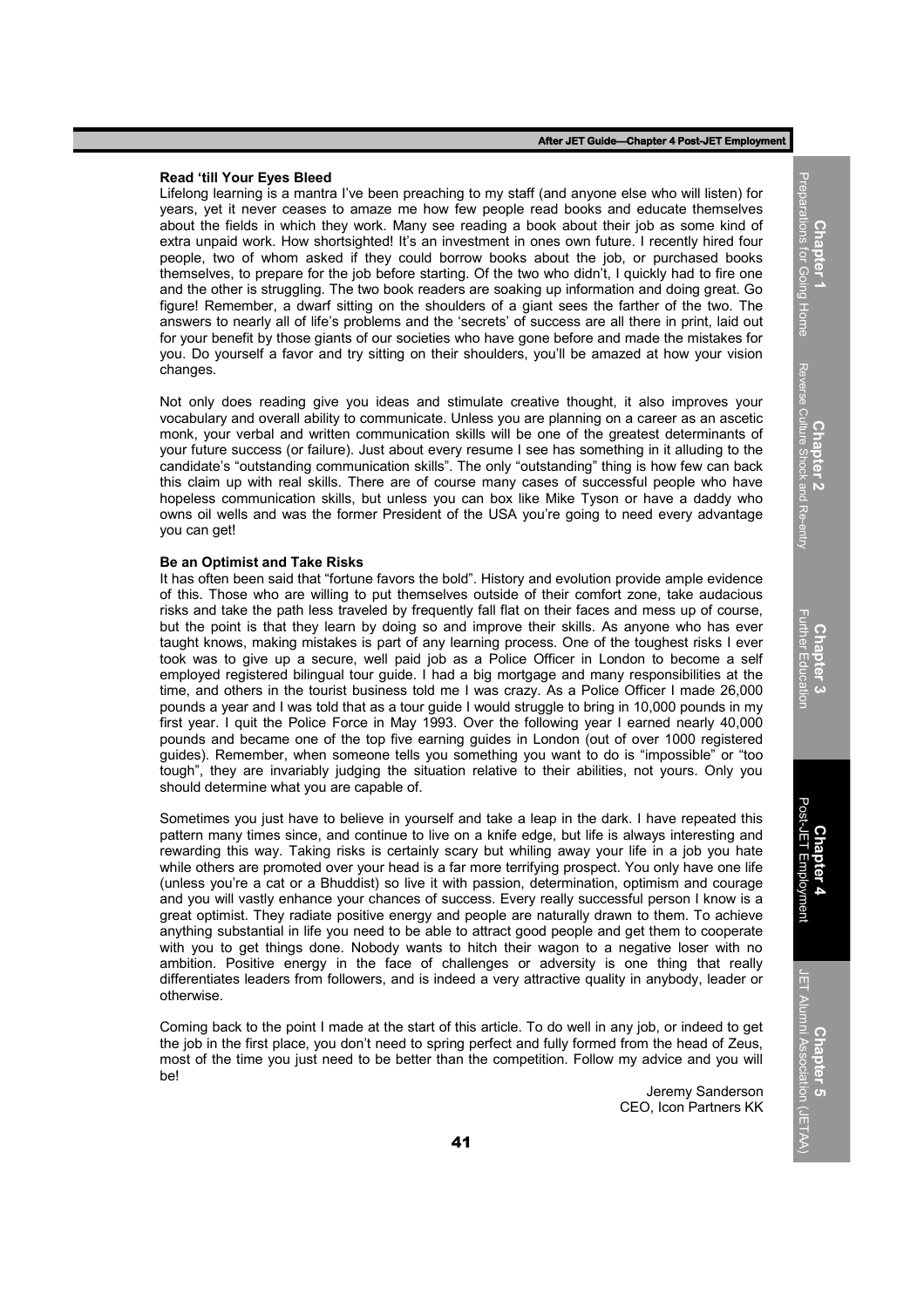#### **Read 'till Your Eyes Bleed**

Lifelong learning is a mantra I've been preaching to my staff (and anyone else who will listen) for years, yet it never ceases to amaze me how few people read books and educate themselves about the fields in which they work. Many see reading a book about their job as some kind of extra unpaid work. How shortsighted! It's an investment in ones own future. I recently hired four people, two of whom asked if they could borrow books about the job, or purchased books themselves, to prepare for the job before starting. Of the two who didn't, I quickly had to fire one and the other is struggling. The two book readers are soaking up information and doing great. Go figure! Remember, a dwarf sitting on the shoulders of a giant sees the farther of the two. The answers to nearly all of life's problems and the 'secrets' of success are all there in print, laid out for your benefit by those giants of our societies who have gone before and made the mistakes for you. Do yourself a favor and try sitting on their shoulders, you'll be amazed at how your vision changes.

Not only does reading give you ideas and stimulate creative thought, it also improves your vocabulary and overall ability to communicate. Unless you are planning on a career as an ascetic monk, your verbal and written communication skills will be one of the greatest determinants of your future success (or failure). Just about every resume I see has something in it alluding to the candidate's "outstanding communication skills". The only "outstanding" thing is how few can back this claim up with real skills. There are of course many cases of successful people who have hopeless communication skills, but unless you can box like Mike Tyson or have a daddy who owns oil wells and was the former President of the USA you're going to need every advantage you can get!

#### **Be an Optimist and Take Risks**

It has often been said that "fortune favors the bold". History and evolution provide ample evidence of this. Those who are willing to put themselves outside of their comfort zone, take audacious risks and take the path less traveled by frequently fall flat on their faces and mess up of course, but the point is that they learn by doing so and improve their skills. As anyone who has ever taught knows, making mistakes is part of any learning process. One of the toughest risks I ever took was to give up a secure, well paid job as a Police Officer in London to become a self employed registered bilingual tour guide. I had a big mortgage and many responsibilities at the time, and others in the tourist business told me I was crazy. As a Police Officer I made 26,000 pounds a year and I was told that as a tour guide I would struggle to bring in 10,000 pounds in my first year. I quit the Police Force in May 1993. Over the following year I earned nearly 40,000 pounds and became one of the top five earning guides in London (out of over 1000 registered guides). Remember, when someone tells you something you want to do is "impossible" or "too tough", they are invariably judging the situation relative to their abilities, not yours. Only you should determine what you are capable of.

Sometimes you just have to believe in yourself and take a leap in the dark. I have repeated this pattern many times since, and continue to live on a knife edge, but life is always interesting and rewarding this way. Taking risks is certainly scary but whiling away your life in a job you hate while others are promoted over your head is a far more terrifying prospect. You only have one life (unless you're a cat or a Bhuddist) so live it with passion, determination, optimism and courage and you will vastly enhance your chances of success. Every really successful person I know is a great optimist. They radiate positive energy and people are naturally drawn to them. To achieve anything substantial in life you need to be able to attract good people and get them to cooperate with you to get things done. Nobody wants to hitch their wagon to a negative loser with no ambition. Positive energy in the face of challenges or adversity is one thing that really differentiates leaders from followers, and is indeed a very attractive quality in anybody, leader or otherwise.

Coming back to the point I made at the start of this article. To do well in any job, or indeed to get the job in the first place, you don't need to spring perfect and fully formed from the head of Zeus, most of the time you just need to be better than the competition. Follow my advice and you will be!

> Jeremy Sanderson CEO, Icon Partners KK

Reverse Culture Shock and Re-entry Reverse Culture Shock and Re-entry **Chapter 2**

**Chapter** 1 Preparations for Going Home

Preparations for Going Home

**Chapter 5** JET Alumni Association (JETAA)

JET Alumni Association (JETAA)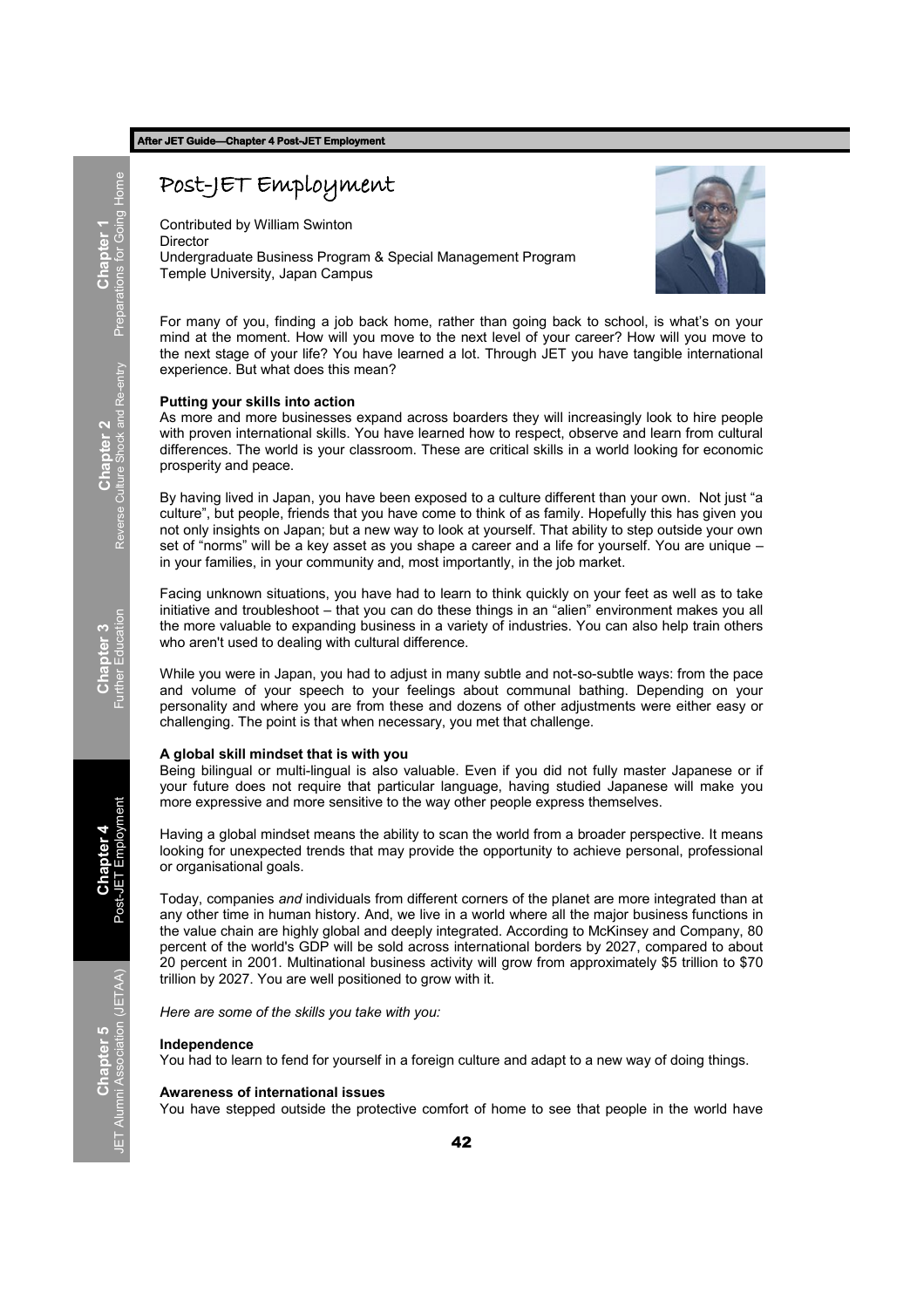## Post-JET Employment

Contributed by William Swinton **Director** Undergraduate Business Program & Special Management Program Temple University, Japan Campus



For many of you, finding a job back home, rather than going back to school, is what's on your mind at the moment. How will you move to the next level of your career? How will you move to the next stage of your life? You have learned a lot. Through JET you have tangible international experience. But what does this mean?

#### **Putting your skills into action**

As more and more businesses expand across boarders they will increasingly look to hire people with proven international skills. You have learned how to respect, observe and learn from cultural differences. The world is your classroom. These are critical skills in a world looking for economic prosperity and peace.

By having lived in Japan, you have been exposed to a culture different than your own. Not just "a culture", but people, friends that you have come to think of as family. Hopefully this has given you not only insights on Japan; but a new way to look at yourself. That ability to step outside your own set of "norms" will be a key asset as you shape a career and a life for yourself. You are unique – in your families, in your community and, most importantly, in the job market.

Facing unknown situations, you have had to learn to think quickly on your feet as well as to take initiative and troubleshoot – that you can do these things in an "alien" environment makes you all the more valuable to expanding business in a variety of industries. You can also help train others who aren't used to dealing with cultural difference.

While you were in Japan, you had to adjust in many subtle and not-so-subtle ways: from the pace and volume of your speech to your feelings about communal bathing. Depending on your personality and where you are from these and dozens of other adjustments were either easy or challenging. The point is that when necessary, you met that challenge.

#### **A global skill mindset that is with you**

Being bilingual or multi-lingual is also valuable. Even if you did not fully master Japanese or if your future does not require that particular language, having studied Japanese will make you more expressive and more sensitive to the way other people express themselves.

Having a global mindset means the ability to scan the world from a broader perspective. It means looking for unexpected trends that may provide the opportunity to achieve personal, professional or organisational goals.

Today, companies *and* individuals from different corners of the planet are more integrated than at any other time in human history. And, we live in a world where all the major business functions in the value chain are highly global and deeply integrated. According to McKinsey and Company, 80 percent of the world's GDP will be sold across international borders by 2027, compared to about 20 percent in 2001. Multinational business activity will grow from approximately \$5 trillion to \$70 trillion by 2027. You are well positioned to grow with it.

*Here are some of the skills you take with you:*

#### **Independence**

You had to learn to fend for yourself in a foreign culture and adapt to a new way of doing things.

#### **Awareness of international issues**

You have stepped outside the protective comfort of home to see that people in the world have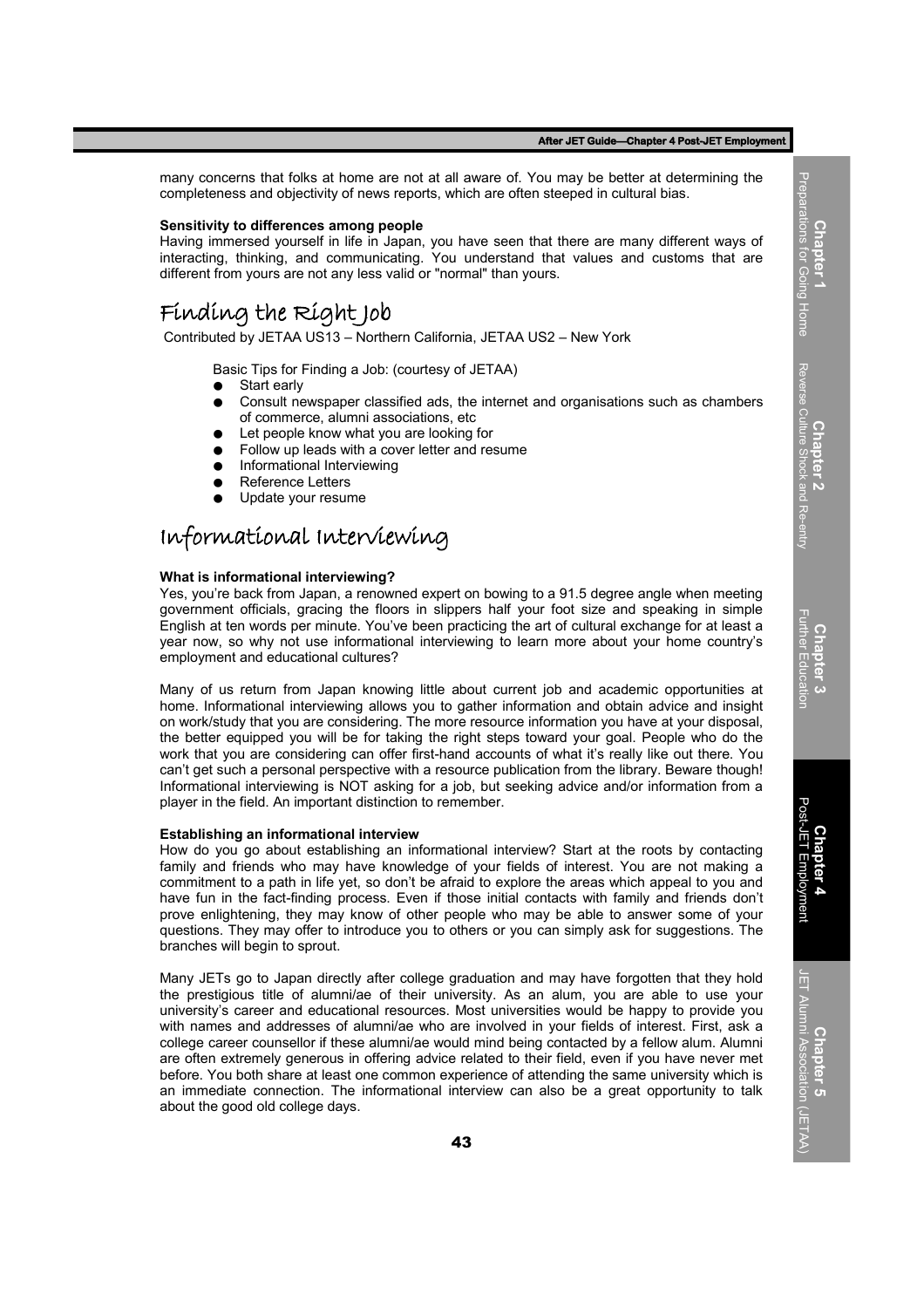many concerns that folks at home are not at all aware of. You may be better at determining the completeness and objectivity of news reports, which are often steeped in cultural bias.

#### **Sensitivity to differences among people**

Having immersed yourself in life in Japan, you have seen that there are many different ways of interacting, thinking, and communicating. You understand that values and customs that are different from yours are not any less valid or "normal" than yours.

## Finding the Right Job

Contributed by JETAA US13 – Northern California, JETAA US2 – New York

Basic Tips for Finding a Job: (courtesy of JETAA)

- **Start early**
- Consult newspaper classified ads, the internet and organisations such as chambers of commerce, alumni associations, etc
- Let people know what you are looking for
- Follow up leads with a cover letter and resume
- Informational Interviewing
- Reference Letters
- Update your resume

## Informational Interviewing

#### **What is informational interviewing?**

Yes, you're back from Japan, a renowned expert on bowing to a 91.5 degree angle when meeting government officials, gracing the floors in slippers half your foot size and speaking in simple English at ten words per minute. You've been practicing the art of cultural exchange for at least a year now, so why not use informational interviewing to learn more about your home country's employment and educational cultures?

Many of us return from Japan knowing little about current job and academic opportunities at home. Informational interviewing allows you to gather information and obtain advice and insight on work/study that you are considering. The more resource information you have at your disposal, the better equipped you will be for taking the right steps toward your goal. People who do the work that you are considering can offer first-hand accounts of what it's really like out there. You can't get such a personal perspective with a resource publication from the library. Beware though! Informational interviewing is NOT asking for a job, but seeking advice and/or information from a player in the field. An important distinction to remember.

#### **Establishing an informational interview**

How do you go about establishing an informational interview? Start at the roots by contacting family and friends who may have knowledge of your fields of interest. You are not making a commitment to a path in life yet, so don't be afraid to explore the areas which appeal to you and have fun in the fact-finding process. Even if those initial contacts with family and friends don't prove enlightening, they may know of other people who may be able to answer some of your questions. They may offer to introduce you to others or you can simply ask for suggestions. The branches will begin to sprout.

Many JETs go to Japan directly after college graduation and may have forgotten that they hold the prestigious title of alumni/ae of their university. As an alum, you are able to use your university's career and educational resources. Most universities would be happy to provide you with names and addresses of alumni/ae who are involved in your fields of interest. First, ask a college career counsellor if these alumni/ae would mind being contacted by a fellow alum. Alumni are often extremely generous in offering advice related to their field, even if you have never met before. You both share at least one common experience of attending the same university which is an immediate connection. The informational interview can also be a great opportunity to talk about the good old college days.

Reverse Culture Shock and Re-entry Reverse Culture Shock and Re-entry **Chapter 2 Chapter 3** Further Education

**Chapter 1** Preparations for Going Home

Preps

**Chapter 5** <sup>1</sup><br>JET Alumni Associati<u>on</u> JET Alumni Association (JETAA)

(JETAA)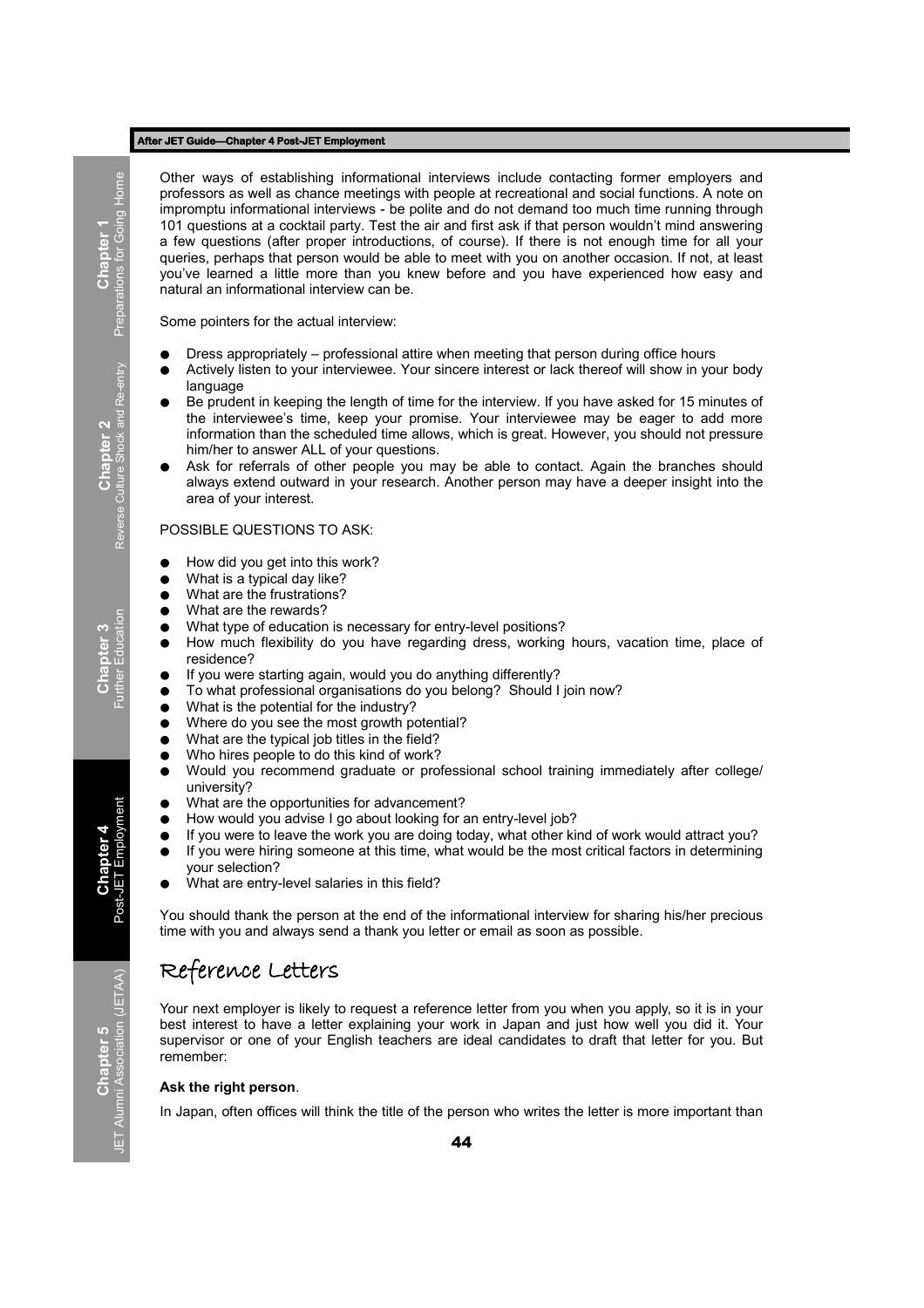Other ways of establishing informational interviews include contacting former employers and professors as well as chance meetings with people at recreational and social functions. A note on impromptu informational interviews - be polite and do not demand too much time running through 101 questions at a cocktail party. Test the air and first ask if that person wouldn't mind answering a few questions (after proper introductions, of course). If there is not enough time for all your queries, perhaps that person would be able to meet with you on another occasion. If not, at least you've learned a little more than you knew before and you have experienced how easy and natural an informational interview can be.

Some pointers for the actual interview:

- Dress appropriately professional attire when meeting that person during office hours
- Actively listen to your interviewee. Your sincere interest or lack thereof will show in your body language
- Be prudent in keeping the length of time for the interview. If you have asked for 15 minutes of the interviewee's time, keep your promise. Your interviewee may be eager to add more information than the scheduled time allows, which is great. However, you should not pressure him/her to answer ALL of your questions.
- Ask for referrals of other people you may be able to contact. Again the branches should always extend outward in your research. Another person may have a deeper insight into the area of your interest.

#### POSSIBLE QUESTIONS TO ASK:

- How did you get into this work?
- What is a typical day like?
- What are the frustrations?
- What are the rewards?
- What type of education is necessary for entry-level positions?
- How much flexibility do you have regarding dress, working hours, vacation time, place of residence?
- If you were starting again, would you do anything differently?
- To what professional organisations do you belong? Should I join now?
- What is the potential for the industry?
- Where do you see the most growth potential?
- What are the typical job titles in the field?
- Who hires people to do this kind of work?
- Would you recommend graduate or professional school training immediately after college/ university?
- What are the opportunities for advancement?
- How would you advise I go about looking for an entry-level job?
- If you were to leave the work you are doing today, what other kind of work would attract you? ● If you were hiring someone at this time, what would be the most critical factors in determining your selection?
- What are entry-level salaries in this field?

You should thank the person at the end of the informational interview for sharing his/her precious time with you and always send a thank you letter or email as soon as possible.

## Reference Letters

Your next employer is likely to request a reference letter from you when you apply, so it is in your best interest to have a letter explaining your work in Japan and just how well you did it. Your supervisor or one of your English teachers are ideal candidates to draft that letter for you. But remember:

#### **Ask the right person**.

In Japan, often offices will think the title of the person who writes the letter is more important than

**Chapter 3**<br>Further Education Further Education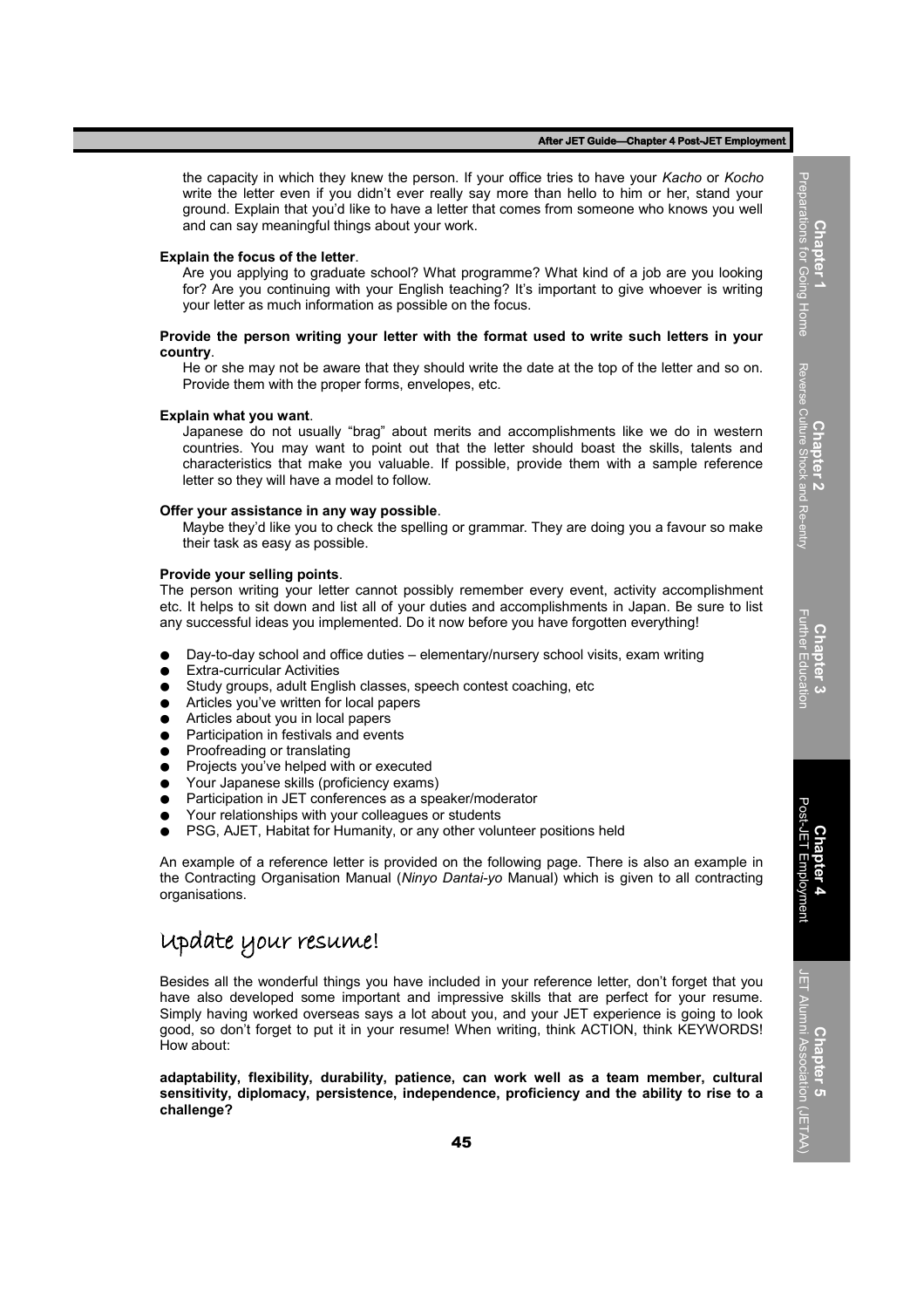the capacity in which they knew the person. If your office tries to have your *Kacho* or *Kocho* write the letter even if you didn't ever really say more than hello to him or her, stand your ground. Explain that you'd like to have a letter that comes from someone who knows you well and can say meaningful things about your work.

#### **Explain the focus of the letter**.

Are you applying to graduate school? What programme? What kind of a job are you looking for? Are you continuing with your English teaching? It's important to give whoever is writing your letter as much information as possible on the focus.

#### **Provide the person writing your letter with the format used to write such letters in your country**.

He or she may not be aware that they should write the date at the top of the letter and so on. Provide them with the proper forms, envelopes, etc.

#### **Explain what you want**.

Japanese do not usually "brag" about merits and accomplishments like we do in western countries. You may want to point out that the letter should boast the skills, talents and characteristics that make you valuable. If possible, provide them with a sample reference letter so they will have a model to follow.

#### **Offer your assistance in any way possible**.

Maybe they'd like you to check the spelling or grammar. They are doing you a favour so make their task as easy as possible.

#### **Provide your selling points**.

The person writing your letter cannot possibly remember every event, activity accomplishment etc. It helps to sit down and list all of your duties and accomplishments in Japan. Be sure to list any successful ideas you implemented. Do it now before you have forgotten everything!

- Day-to-day school and office duties elementary/nursery school visits, exam writing
- **Extra-curricular Activities**
- Study groups, adult English classes, speech contest coaching, etc
- Articles you've written for local papers
- Articles about you in local papers
- Participation in festivals and events
- Proofreading or translating
- Projects you've helped with or executed
- Your Japanese skills (proficiency exams)
- Participation in JET conferences as a speaker/moderator
- Your relationships with your colleagues or students
- PSG, AJET, Habitat for Humanity, or any other volunteer positions held

An example of a reference letter is provided on the following page. There is also an example in the Contracting Organisation Manual (*Ninyo Dantai-yo* Manual) which is given to all contracting organisations.

## Update your resume!

Besides all the wonderful things you have included in your reference letter, don't forget that you have also developed some important and impressive skills that are perfect for your resume. Simply having worked overseas says a lot about you, and your JET experience is going to look good, so don't forget to put it in your resume! When writing, think ACTION, think KEYWORDS! How about:

**adaptability, flexibility, durability, patience, can work well as a team member, cultural sensitivity, diplomacy, persistence, independence, proficiency and the ability to rise to a challenge?**

Preparations for Going Home Preparations for Going Home **Chapter 2**<br>Reverse Culture Shock and Re-entr Reverse Culture Shock and Re-entry **Chapter 3** Further Education

**Chapter 1**

Post-JET Employment **Chapter 4** Employment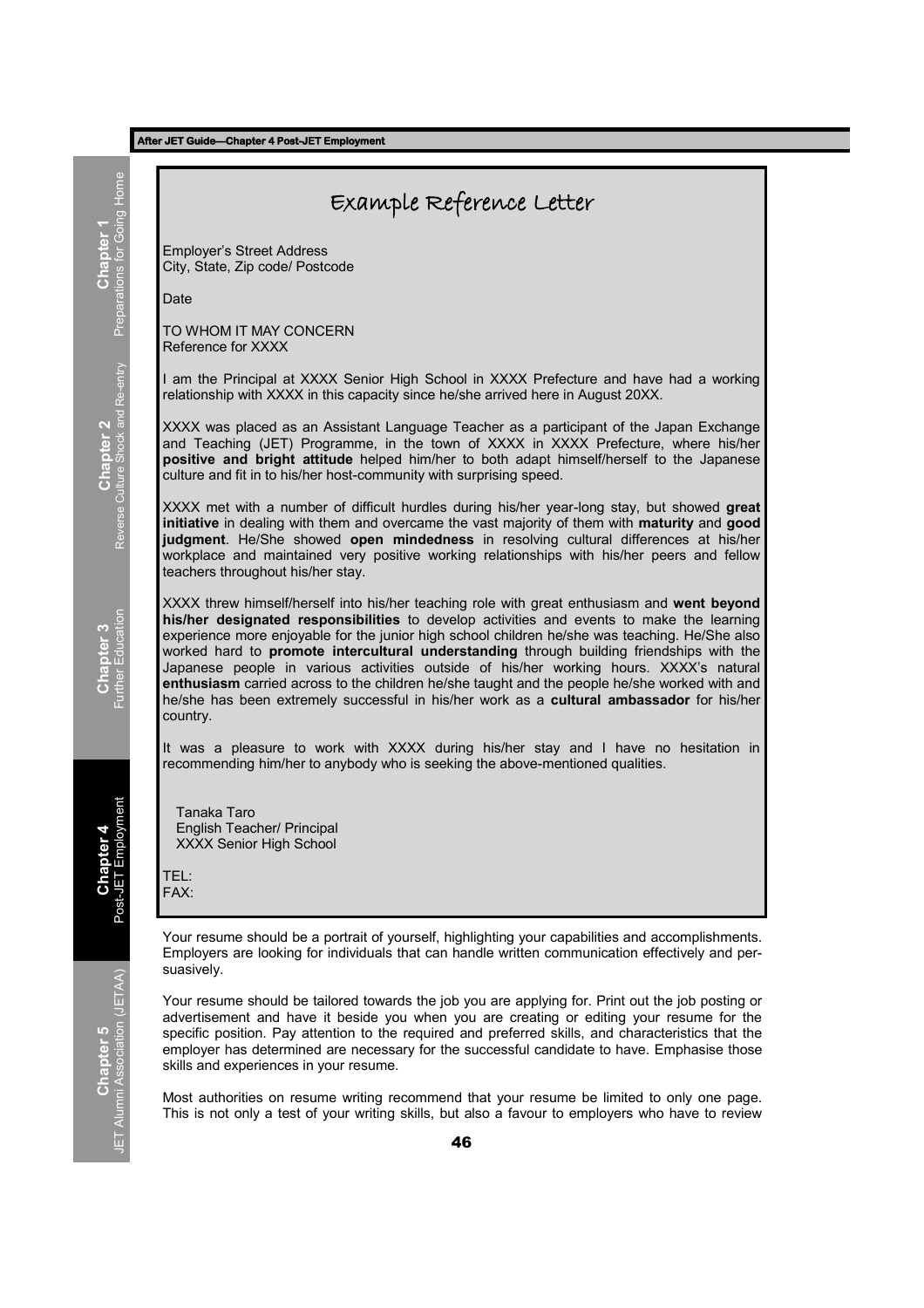|                                                 | Example Reference Letter                                                                                                                                                                                                                                                                                                                                                                                                                                                                                                                                                                                                                                                                   |
|-------------------------------------------------|--------------------------------------------------------------------------------------------------------------------------------------------------------------------------------------------------------------------------------------------------------------------------------------------------------------------------------------------------------------------------------------------------------------------------------------------------------------------------------------------------------------------------------------------------------------------------------------------------------------------------------------------------------------------------------------------|
| <b>Chapter 1</b><br>Preparations for Going Home | <b>Employer's Street Address</b><br>City, State, Zip code/ Postcode                                                                                                                                                                                                                                                                                                                                                                                                                                                                                                                                                                                                                        |
|                                                 | Date                                                                                                                                                                                                                                                                                                                                                                                                                                                                                                                                                                                                                                                                                       |
|                                                 | TO WHOM IT MAY CONCERN<br>Reference for XXXX                                                                                                                                                                                                                                                                                                                                                                                                                                                                                                                                                                                                                                               |
| Chapter 2<br>Reverse Culture Shock and Re-entry | I am the Principal at XXXX Senior High School in XXXX Prefecture and have had a working<br>relationship with XXXX in this capacity since he/she arrived here in August 20XX.                                                                                                                                                                                                                                                                                                                                                                                                                                                                                                               |
|                                                 | XXXX was placed as an Assistant Language Teacher as a participant of the Japan Exchange<br>and Teaching (JET) Programme, in the town of XXXX in XXXX Prefecture, where his/her<br>positive and bright attitude helped him/her to both adapt himself/herself to the Japanese<br>culture and fit in to his/her host-community with surprising speed.                                                                                                                                                                                                                                                                                                                                         |
|                                                 | XXXX met with a number of difficult hurdles during his/her year-long stay, but showed great<br>initiative in dealing with them and overcame the vast majority of them with maturity and good<br>judgment. He/She showed open mindedness in resolving cultural differences at his/her<br>workplace and maintained very positive working relationships with his/her peers and fellow<br>teachers throughout his/her stay.                                                                                                                                                                                                                                                                    |
| <b>Chapter 3</b><br>Further Education           | XXXX threw himself/herself into his/her teaching role with great enthusiasm and went beyond<br>his/her designated responsibilities to develop activities and events to make the learning<br>experience more enjoyable for the junior high school children he/she was teaching. He/She also<br>worked hard to promote intercultural understanding through building friendships with the<br>Japanese people in various activities outside of his/her working hours. XXXX's natural<br>enthusiasm carried across to the children he/she taught and the people he/she worked with and<br>he/she has been extremely successful in his/her work as a cultural ambassador for his/her<br>country. |
|                                                 | It was a pleasure to work with XXXX during his/her stay and I have no hesitation in<br>recommending him/her to anybody who is seeking the above-mentioned qualities.                                                                                                                                                                                                                                                                                                                                                                                                                                                                                                                       |
| Chapter 4<br>-JET Employment<br>Post            | <b>Tanaka Taro</b><br>English Teacher/ Principal<br><b>XXXX Senior High School</b><br>TEL:<br>FAX:                                                                                                                                                                                                                                                                                                                                                                                                                                                                                                                                                                                         |
| hapter 5<br><sub>Association (JETAA)</sub>      | Your resume should be a portrait of yourself, highlighting your capabilities and accomplishments.<br>Employers are looking for individuals that can handle written communication effectively and per-<br>suasively.                                                                                                                                                                                                                                                                                                                                                                                                                                                                        |
|                                                 | Your resume should be tailored towards the job you are applying for. Print out the job posting or<br>advertisement and have it beside you when you are creating or editing your resume for the<br>specific position. Pay attention to the required and preferred skills, and characteristics that the<br>employer has determined are necessary for the successful candidate to have. Emphasise those<br>skills and experiences in your resume.                                                                                                                                                                                                                                             |
|                                                 |                                                                                                                                                                                                                                                                                                                                                                                                                                                                                                                                                                                                                                                                                            |

Most authorities on resume writing recommend that your resume be limited to only one page. This is not only a test of your writing skills, but also a favour to employers who have to review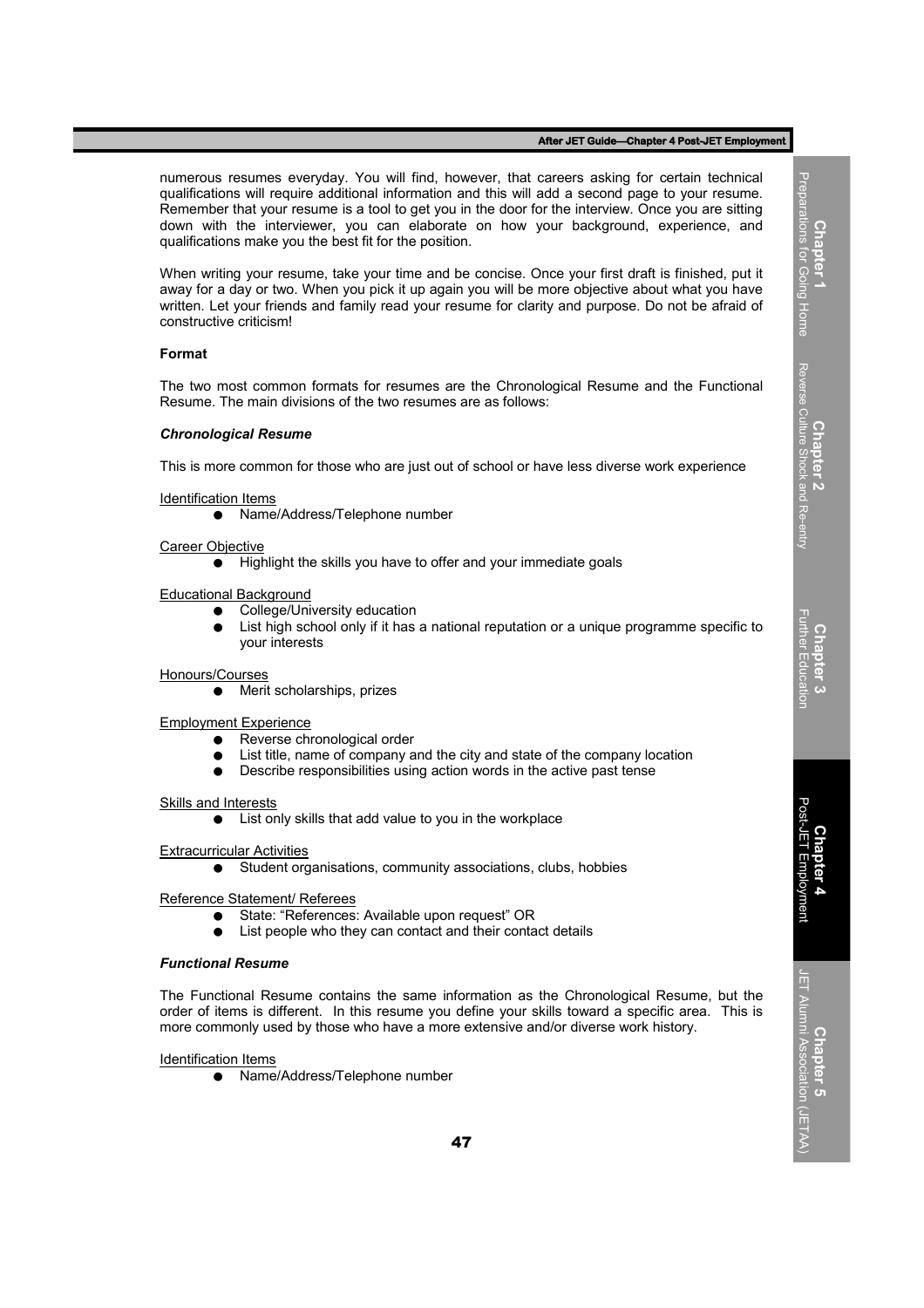numerous resumes everyday. You will find, however, that careers asking for certain technical qualifications will require additional information and this will add a second page to your resume. Remember that your resume is a tool to get you in the door for the interview. Once you are sitting down with the interviewer, you can elaborate on how your background, experience, and qualifications make you the best fit for the position.

When writing your resume, take your time and be concise. Once your first draft is finished, put it away for a day or two. When you pick it up again you will be more objective about what you have written. Let your friends and family read your resume for clarity and purpose. Do not be afraid of constructive criticism!

#### **Format**

The two most common formats for resumes are the Chronological Resume and the Functional Resume. The main divisions of the two resumes are as follows:

#### *Chronological Resume*

This is more common for those who are just out of school or have less diverse work experience

Identification Items

● Name/Address/Telephone number

Career Objective

● Highlight the skills you have to offer and your immediate goals

Educational Background

- College/University education
- List high school only if it has a national reputation or a unique programme specific to your interests

Honours/Courses

● Merit scholarships, prizes

Employment Experience

- Reverse chronological order
- List title, name of company and the city and state of the company location
- Describe responsibilities using action words in the active past tense

Skills and Interests

● List only skills that add value to you in the workplace

Extracurricular Activities

● Student organisations, community associations, clubs, hobbies

Reference Statement/ Referees

- State: "References: Available upon request" OR
- List people who they can contact and their contact details

#### *Functional Resume*

The Functional Resume contains the same information as the Chronological Resume, but the order of items is different. In this resume you define your skills toward a specific area. This is more commonly used by those who have a more extensive and/or diverse work history.

#### Identification Items

● Name/Address/Telephone number

Reverse Culture Shock and Re-entry Reverse Culture Shock and Re-entry **Chapter 2 Chapter 3** Further Education

**Chapter 1**<br>Preparations for Going Home Preparations for Going Home

**Chapter 4** Post-JET Employment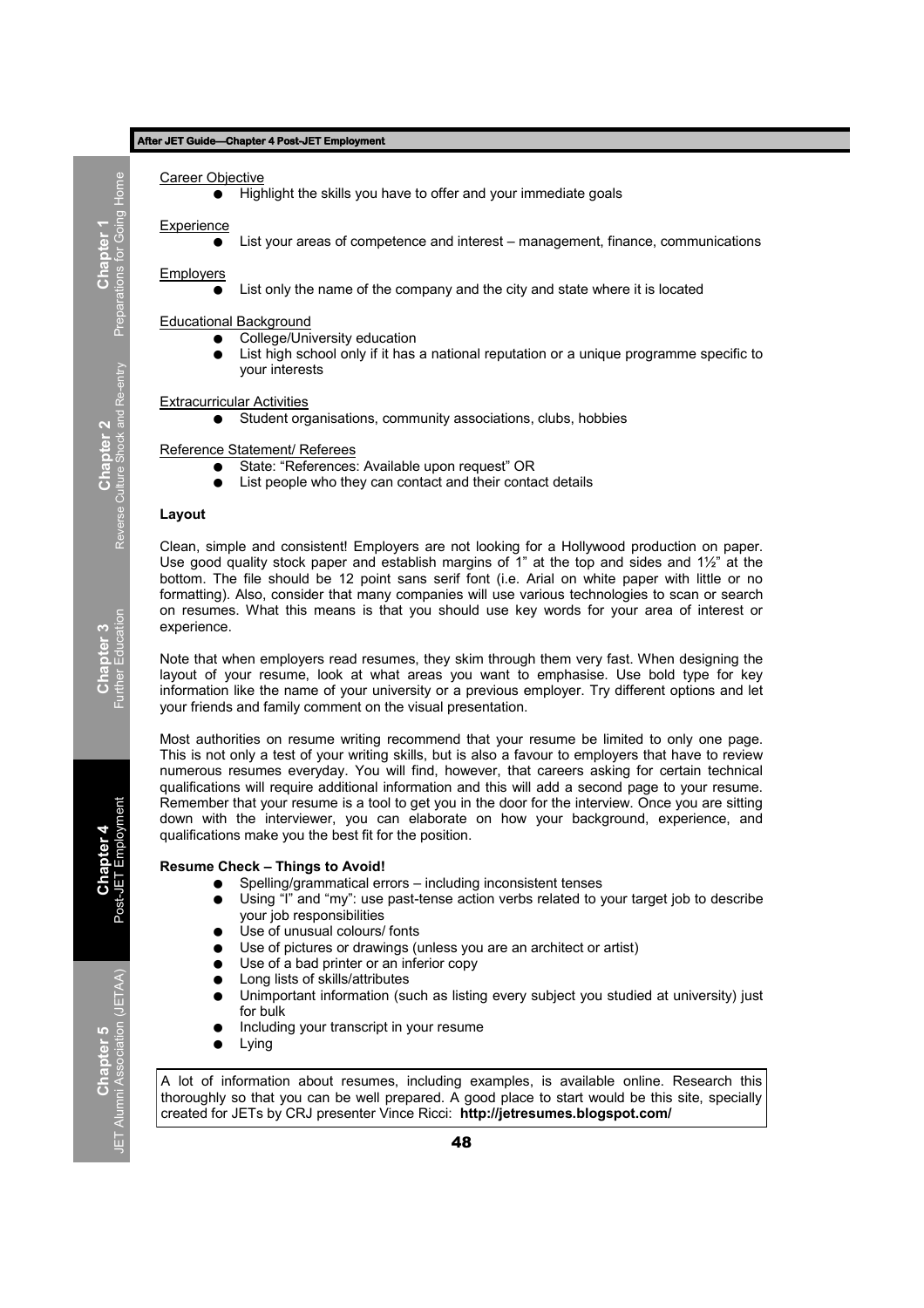**Career Objective** 

● Highlight the skills you have to offer and your immediate goals

**Experience** 

List your areas of competence and interest – management, finance, communications

Employers

List only the name of the company and the city and state where it is located

Educational Background

- College/University education
- List high school only if it has a national reputation or a unique programme specific to your interests

#### Extracurricular Activities

Student organisations, community associations, clubs, hobbies

Reference Statement/ Referees

- State: "References: Available upon request" OR
- List people who they can contact and their contact details

#### **Layout**

Clean, simple and consistent! Employers are not looking for a Hollywood production on paper. Use good quality stock paper and establish margins of 1<sup>n</sup> at the top and sides and 1 $\frac{1}{2}$  at the bottom. The file should be 12 point sans serif font (i.e. Arial on white paper with little or no formatting). Also, consider that many companies will use various technologies to scan or search on resumes. What this means is that you should use key words for your area of interest or experience.

Note that when employers read resumes, they skim through them very fast. When designing the layout of your resume, look at what areas you want to emphasise. Use bold type for key information like the name of your university or a previous employer. Try different options and let your friends and family comment on the visual presentation.

Most authorities on resume writing recommend that your resume be limited to only one page. This is not only a test of your writing skills, but is also a favour to employers that have to review numerous resumes everyday. You will find, however, that careers asking for certain technical qualifications will require additional information and this will add a second page to your resume. Remember that your resume is a tool to get you in the door for the interview. Once you are sitting down with the interviewer, you can elaborate on how your background, experience, and qualifications make you the best fit for the position.

#### **Resume Check – Things to Avoid!**

- Spelling/grammatical errors including inconsistent tenses
- Using "I" and "my": use past-tense action verbs related to your target job to describe your job responsibilities
- Use of unusual colours/ fonts
- Use of pictures or drawings (unless you are an architect or artist)
- Use of a bad printer or an inferior copy
- Long lists of skills/attributes
- Unimportant information (such as listing every subject you studied at university) just for bulk
- Including your transcript in your resume
- Lying

A lot of information about resumes, including examples, is available online. Research this thoroughly so that you can be well prepared. A good place to start would be this site, specially created for JETs by CRJ presenter Vince Ricci: **http://jetresumes.blogspot.com/**

**Chapter 3**<br>Further Education Further Education

**Chapter 4**<br>Post-JET Employn Post-JET Employment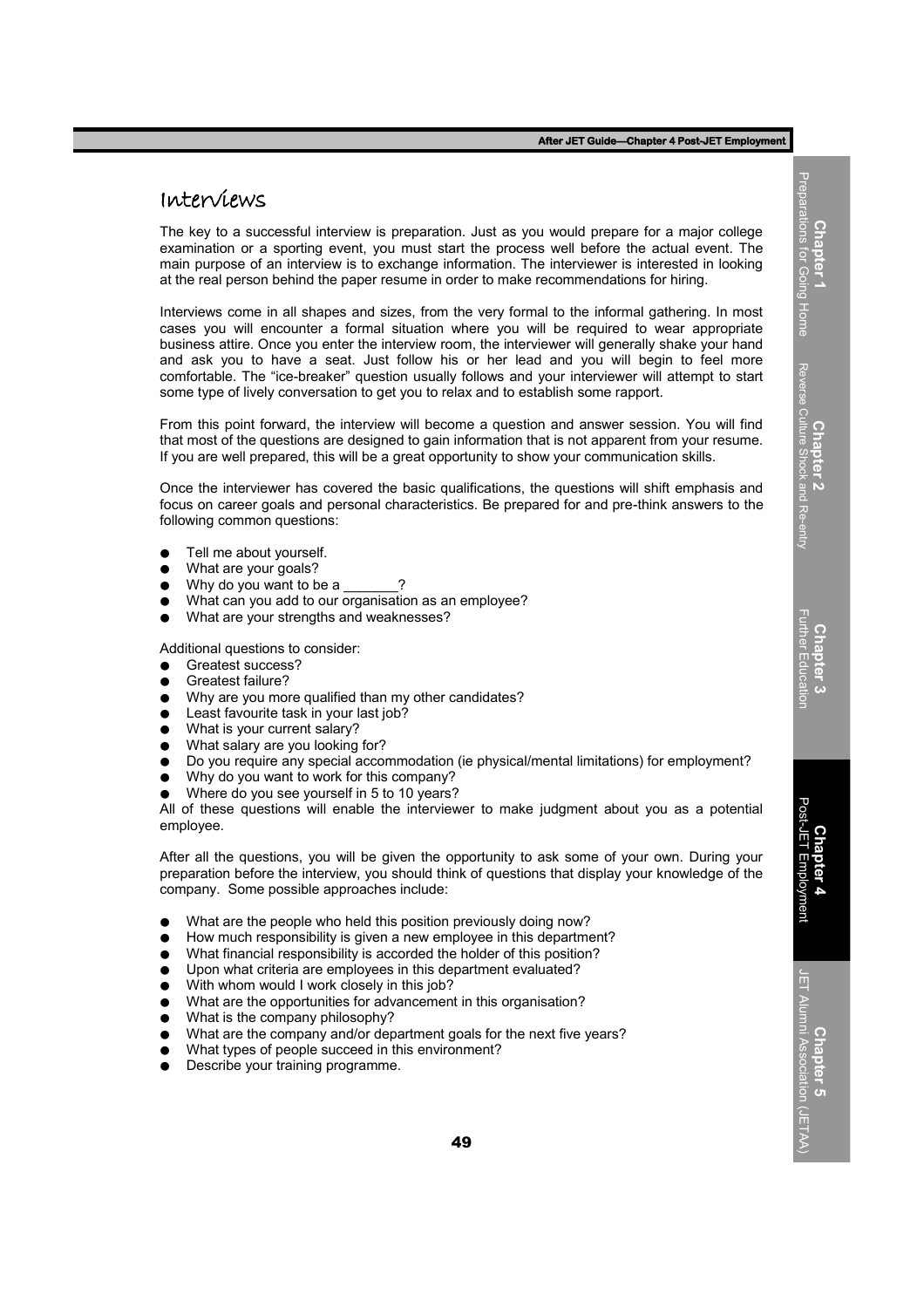## Interviews

The key to a successful interview is preparation. Just as you would prepare for a major college examination or a sporting event, you must start the process well before the actual event. The main purpose of an interview is to exchange information. The interviewer is interested in looking at the real person behind the paper resume in order to make recommendations for hiring.

Interviews come in all shapes and sizes, from the very formal to the informal gathering. In most cases you will encounter a formal situation where you will be required to wear appropriate business attire. Once you enter the interview room, the interviewer will generally shake your hand and ask you to have a seat. Just follow his or her lead and you will begin to feel more comfortable. The "ice-breaker" question usually follows and your interviewer will attempt to start some type of lively conversation to get you to relax and to establish some rapport.

From this point forward, the interview will become a question and answer session. You will find that most of the questions are designed to gain information that is not apparent from your resume. If you are well prepared, this will be a great opportunity to show your communication skills.

Once the interviewer has covered the basic qualifications, the questions will shift emphasis and focus on career goals and personal characteristics. Be prepared for and pre-think answers to the following common questions:

- Tell me about yourself.
- What are your goals?
- $\bullet$  Why do you want to be a
- What can you add to our organisation as an employee?
- What are your strengths and weaknesses?

Additional questions to consider:

- Greatest success?
- Greatest failure?
- Why are you more qualified than my other candidates?
- Least favourite task in your last job?
- What is your current salary?
- What salary are you looking for?
- Do you require any special accommodation (ie physical/mental limitations) for employment?
- Why do you want to work for this company?
- Where do you see yourself in 5 to 10 years?

All of these questions will enable the interviewer to make judgment about you as a potential employee.

After all the questions, you will be given the opportunity to ask some of your own. During your preparation before the interview, you should think of questions that display your knowledge of the company. Some possible approaches include:

- What are the people who held this position previously doing now?
- How much responsibility is given a new employee in this department?
- What financial responsibility is accorded the holder of this position?
- Upon what criteria are employees in this department evaluated?
- With whom would I work closely in this job?
- What are the opportunities for advancement in this organisation?
- What is the company philosophy?
- What are the company and/or department goals for the next five years?
- What types of people succeed in this environment?
- Describe your training programme.

**Chapter 1**<br>Preparations for Going Home Preparations for Going Home Reverse Culture Shock and Re-entry Reverse Culture Shock and Re-entry **Chapter 2 Chapter 3** Further Education

Post-JET Employment Post-JET Employment **Chapter 4**